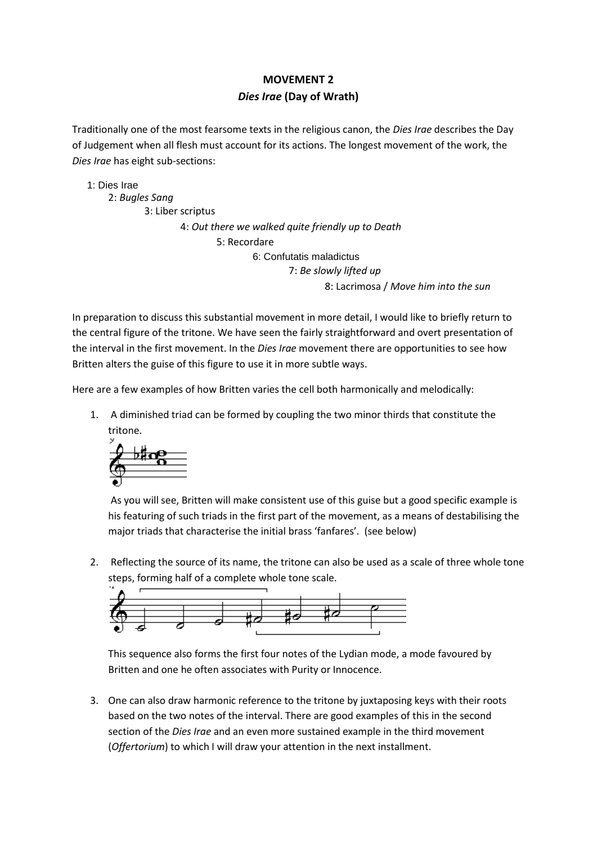# **MOVEMENT 2** *Dies Irae* **(Day of Wrath)**

Traditionally one of the most fearsome texts in the religious canon, the *Dies Irae* describes the Day of Judgement when all flesh must account for its actions. The longest movement of the work, the *Dies Irae* has eight sub-sections:

1: Dies Irae 2: *Bugles Sang* 3: Liber scriptus 4: *Out there we walked quite friendly up to Death* 5: Recordare 6: Confutatis maladictus 7: *Be slowly lifted up* 8: Lacrimosa / *Move him into the sun*

In preparation to discuss this substantial movement in more detail, I would like to briefly return to the central figure of the tritone. We have seen the fairly straightforward and overt presentation of the interval in the first movement. In the *Dies Irae* movement there are opportunities to see how Britten alters the guise of this figure to use it in more subtle ways.

Here are a few examples of how Britten varies the cell both harmonically and melodically:

1. A diminished triad can be formed by coupling the two minor thirds that constitute the tritone.



As you will see, Britten will make consistent use of this guise but a good specific example is his featuring of such triads in the first part of the movement, as a means of destabilising the major triads that characterise the initial brass 'fanfares'. (see below)

2. Reflecting the source of its name, the tritone can also be used as a scale of three whole tone steps, forming half of a complete whole tone scale.



This sequence also forms the first four notes of the Lydian mode, a mode favoured by Britten and one he often associates with Purity or Innocence.

3. One can also draw harmonic reference to the tritone by juxtaposing keys with their roots based on the two notes of the interval. There are good examples of this in the second section of the *Dies Irae* and an even more sustained example in the third movement (*Offertorium*) to which I will draw your attention in the next installment.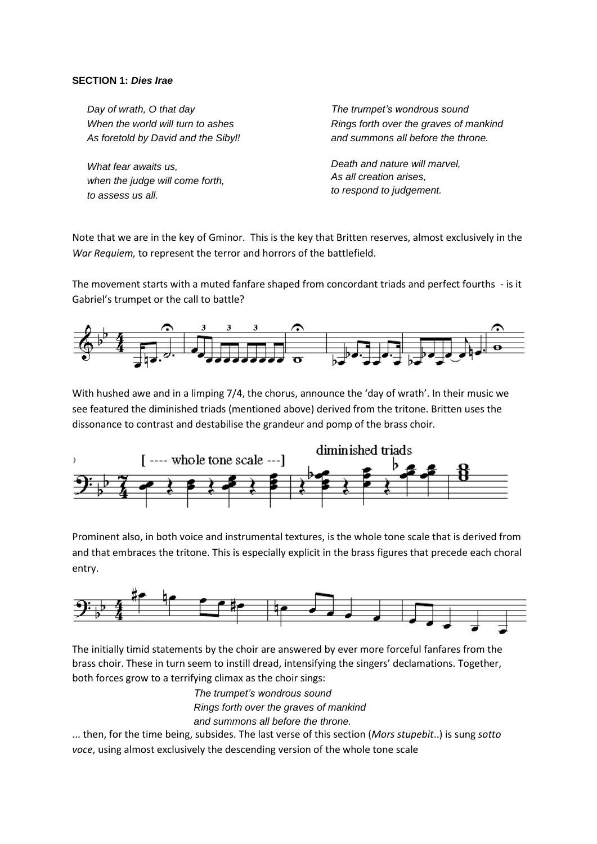# **SECTION 1:** *Dies Irae*

*Day of wrath, O that day When the world will turn to ashes As foretold by David and the Sibyl!*

*What fear awaits us, when the judge will come forth, to assess us all.*

*The trumpet's wondrous sound Rings forth over the graves of mankind and summons all before the throne.*

*Death and nature will marvel, As all creation arises, to respond to judgement.*

Note that we are in the key of Gminor. This is the key that Britten reserves, almost exclusively in the *War Requiem,* to represent the terror and horrors of the battlefield.

The movement starts with a muted fanfare shaped from concordant triads and perfect fourths - is it Gabriel's trumpet or the call to battle?



With hushed awe and in a limping 7/4, the chorus, announce the 'day of wrath'. In their music we see featured the diminished triads (mentioned above) derived from the tritone. Britten uses the dissonance to contrast and destabilise the grandeur and pomp of the brass choir.



Prominent also, in both voice and instrumental textures, is the whole tone scale that is derived from and that embraces the tritone. This is especially explicit in the brass figures that precede each choral entry.



The initially timid statements by the choir are answered by ever more forceful fanfares from the brass choir. These in turn seem to instill dread, intensifying the singers' declamations. Together, both forces grow to a terrifying climax as the choir sings:

> *The trumpet's wondrous sound Rings forth over the graves of mankind and summons all before the throne.*

... then, for the time being, subsides. The last verse of this section (*Mors stupebit*..) is sung *sotto voce*, using almost exclusively the descending version of the whole tone scale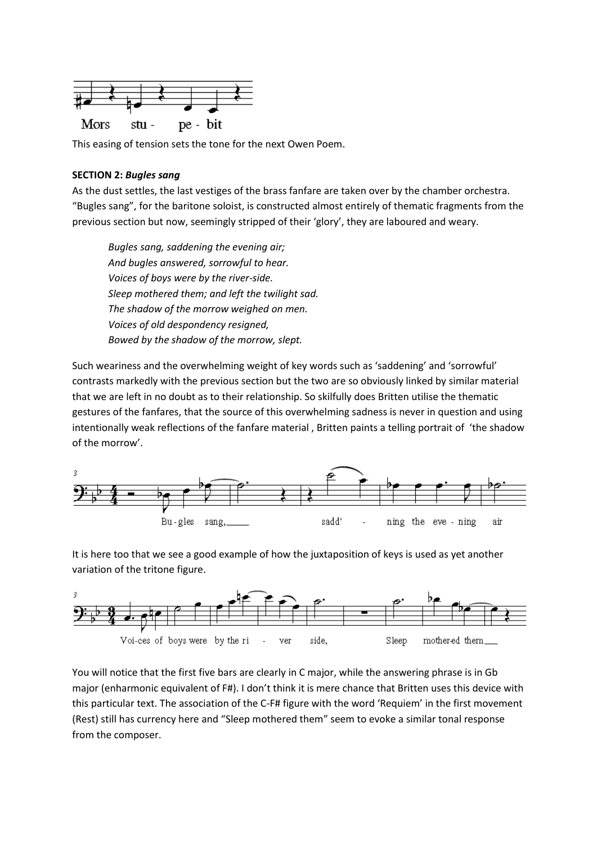

This easing of tension sets the tone for the next Owen Poem.

## **SECTION 2:** *Bugles sang*

As the dust settles, the last vestiges of the brass fanfare are taken over by the chamber orchestra. "Bugles sang", for the baritone soloist, is constructed almost entirely of thematic fragments from the previous section but now, seemingly stripped of their 'glory', they are laboured and weary.

*Bugles sang, saddening the evening air; And bugles answered, sorrowful to hear. Voices of boys were by the river-side. Sleep mothered them; and left the twilight sad. The shadow of the morrow weighed on men. Voices of old despondency resigned, Bowed by the shadow of the morrow, slept.*

Such weariness and the overwhelming weight of key words such as 'saddening' and 'sorrowful' contrasts markedly with the previous section but the two are so obviously linked by similar material that we are left in no doubt as to their relationship. So skilfully does Britten utilise the thematic gestures of the fanfares, that the source of this overwhelming sadness is never in question and using intentionally weak reflections of the fanfare material , Britten paints a telling portrait of 'the shadow of the morrow'.



It is here too that we see a good example of how the juxtaposition of keys is used as yet another variation of the tritone figure.



You will notice that the first five bars are clearly in C major, while the answering phrase is in Gb major (enharmonic equivalent of F#). I don't think it is mere chance that Britten uses this device with this particular text. The association of the C-F# figure with the word 'Requiem' in the first movement (Rest) still has currency here and "Sleep mothered them" seem to evoke a similar tonal response from the composer.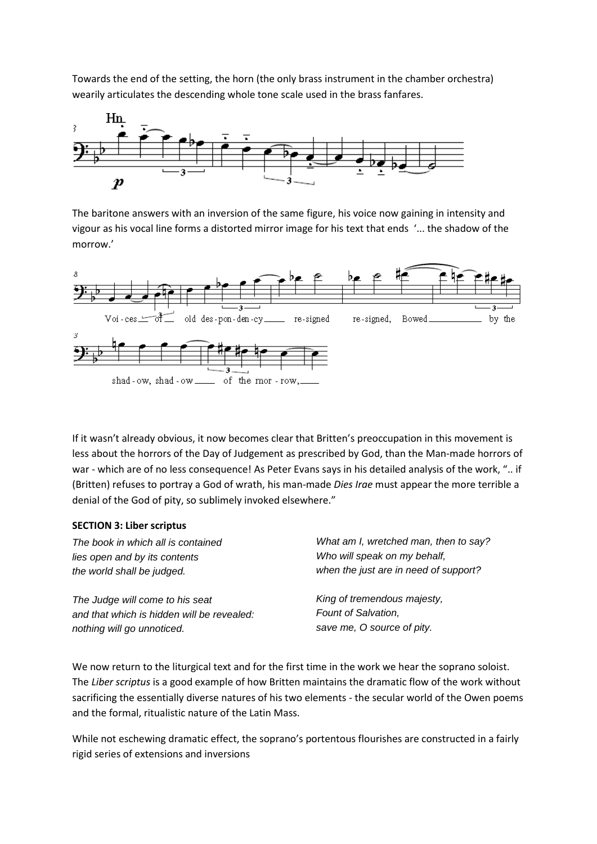Towards the end of the setting, the horn (the only brass instrument in the chamber orchestra) wearily articulates the descending whole tone scale used in the brass fanfares.



The baritone answers with an inversion of the same figure, his voice now gaining in intensity and vigour as his vocal line forms a distorted mirror image for his text that ends '... the shadow of the morrow.'



If it wasn't already obvious, it now becomes clear that Britten's preoccupation in this movement is less about the horrors of the Day of Judgement as prescribed by God, than the Man-made horrors of war - which are of no less consequence! As Peter Evans says in his detailed analysis of the work, ".. if (Britten) refuses to portray a God of wrath, his man-made *Dies Irae* must appear the more terrible a denial of the God of pity, so sublimely invoked elsewhere."

## **SECTION 3: Liber scriptus**

*The book in which all is contained lies open and by its contents the world shall be judged.*

*The Judge will come to his seat and that which is hidden will be revealed: nothing will go unnoticed.*

*What am I, wretched man, then to say? Who will speak on my behalf, when the just are in need of support?*

*King of tremendous majesty, Fount of Salvation, save me, O source of pity.*

We now return to the liturgical text and for the first time in the work we hear the soprano soloist. The *Liber scriptus* is a good example of how Britten maintains the dramatic flow of the work without sacrificing the essentially diverse natures of his two elements - the secular world of the Owen poems and the formal, ritualistic nature of the Latin Mass.

While not eschewing dramatic effect, the soprano's portentous flourishes are constructed in a fairly rigid series of extensions and inversions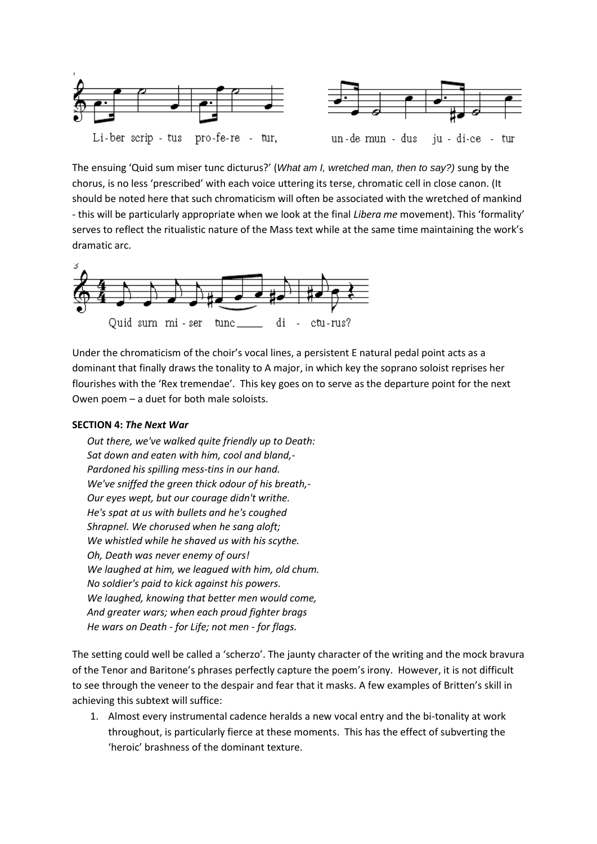

The ensuing 'Quid sum miser tunc dicturus?' (*What am I, wretched man, then to say?)* sung by the chorus, is no less 'prescribed' with each voice uttering its terse, chromatic cell in close canon. (It should be noted here that such chromaticism will often be associated with the wretched of mankind - this will be particularly appropriate when we look at the final *Libera me* movement). This 'formality' serves to reflect the ritualistic nature of the Mass text while at the same time maintaining the work's dramatic arc.



Under the chromaticism of the choir's vocal lines, a persistent E natural pedal point acts as a dominant that finally draws the tonality to A major, in which key the soprano soloist reprises her flourishes with the 'Rex tremendae'. This key goes on to serve as the departure point for the next Owen poem – a duet for both male soloists.

# **SECTION 4:** *The Next War*

*Out there, we've walked quite friendly up to Death: Sat down and eaten with him, cool and bland,- Pardoned his spilling mess-tins in our hand. We've sniffed the green thick odour of his breath,- Our eyes wept, but our courage didn't writhe. He's spat at us with bullets and he's coughed Shrapnel. We chorused when he sang aloft; We whistled while he shaved us with his scythe. Oh, Death was never enemy of ours! We laughed at him, we leagued with him, old chum. No soldier's paid to kick against his powers. We laughed, knowing that better men would come, And greater wars; when each proud fighter brags He wars on Death - for Life; not men - for flags.*

The setting could well be called a 'scherzo'. The jaunty character of the writing and the mock bravura of the Tenor and Baritone's phrases perfectly capture the poem's irony. However, it is not difficult to see through the veneer to the despair and fear that it masks. A few examples of Britten's skill in achieving this subtext will suffice:

1. Almost every instrumental cadence heralds a new vocal entry and the bi-tonality at work throughout, is particularly fierce at these moments. This has the effect of subverting the 'heroic' brashness of the dominant texture.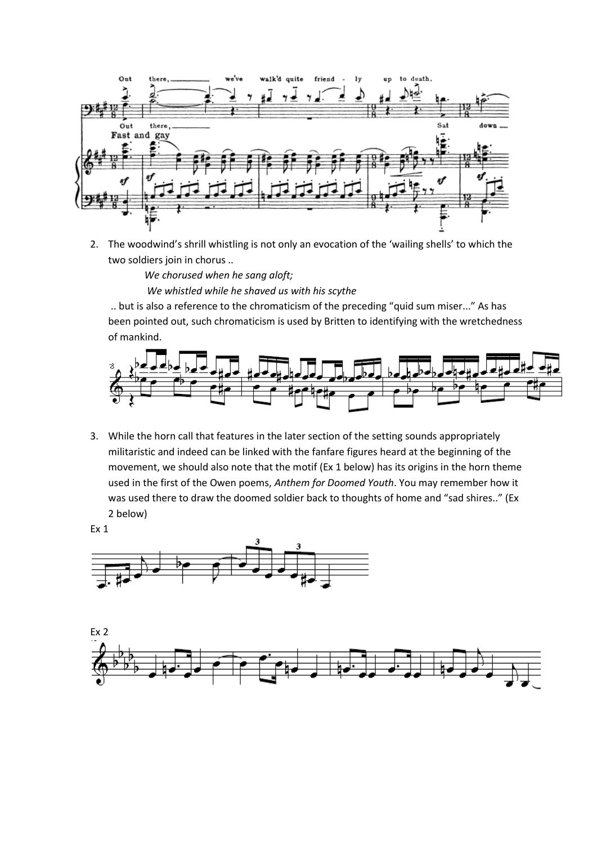

2. The woodwind's shrill whistling is not only an evocation of the 'wailing shells' to which the two soldiers join in chorus ..

> *We chorused when he sang aloft; We whistled while he shaved us with his scythe*

.. but is also a reference to the chromaticism of the preceding "quid sum miser..." As has been pointed out, such chromaticism is used by Britten to identifying with the wretchedness of mankind.



3. While the horn call that features in the later section of the setting sounds appropriately militaristic and indeed can be linked with the fanfare figures heard at the beginning of the movement, we should also note that the motif (Ex 1 below) has its origins in the horn theme used in the first of the Owen poems, *Anthem for Doomed Youth*. You may remember how it was used there to draw the doomed soldier back to thoughts of home and "sad shires.." (Ex 2 below)

Ex 1



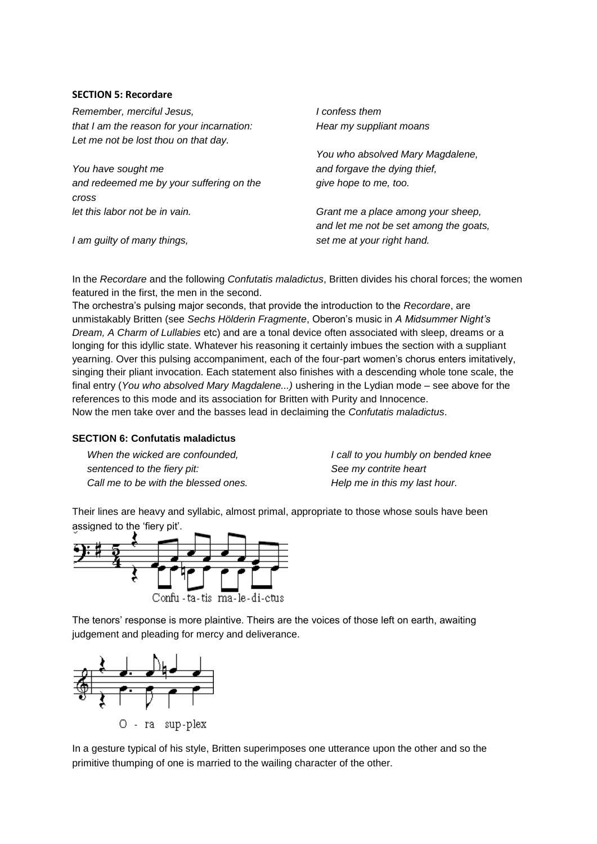## **SECTION 5: Recordare**

*Remember, merciful Jesus, that I am the reason for your incarnation: Let me not be lost thou on that day.*

*You have sought me and redeemed me by your suffering on the cross let this labor not be in vain.*

*I am guilty of many things,*

*I confess them Hear my suppliant moans*

*You who absolved Mary Magdalene, and forgave the dying thief, give hope to me, too.*

*Grant me a place among your sheep, and let me not be set among the goats, set me at your right hand.*

In the *Recordare* and the following *Confutatis maladictus*, Britten divides his choral forces; the women featured in the first, the men in the second.

The orchestra's pulsing major seconds, that provide the introduction to the *Recordare*, are unmistakably Britten (see *Sechs Hölderin Fragmente*, Oberon's music in *A Midsummer Night's Dream, A Charm of Lullabies* etc) and are a tonal device often associated with sleep, dreams or a longing for this idyllic state. Whatever his reasoning it certainly imbues the section with a suppliant yearning. Over this pulsing accompaniment, each of the four-part women's chorus enters imitatively, singing their pliant invocation. Each statement also finishes with a descending whole tone scale, the final entry (*You who absolved Mary Magdalene...)* ushering in the Lydian mode – see above for the references to this mode and its association for Britten with Purity and Innocence. Now the men take over and the basses lead in declaiming the *Confutatis maladictus*.

# **SECTION 6: Confutatis maladictus**

*When the wicked are confounded, sentenced to the fiery pit: Call me to be with the blessed ones.* *I call to you humbly on bended knee See my contrite heart Help me in this my last hour.*

Their lines are heavy and syllabic, almost primal, appropriate to those whose souls have been assigned to the 'fiery pit'.



The tenors' response is more plaintive. Theirs are the voices of those left on earth, awaiting judgement and pleading for mercy and deliverance.



In a gesture typical of his style, Britten superimposes one utterance upon the other and so the primitive thumping of one is married to the wailing character of the other.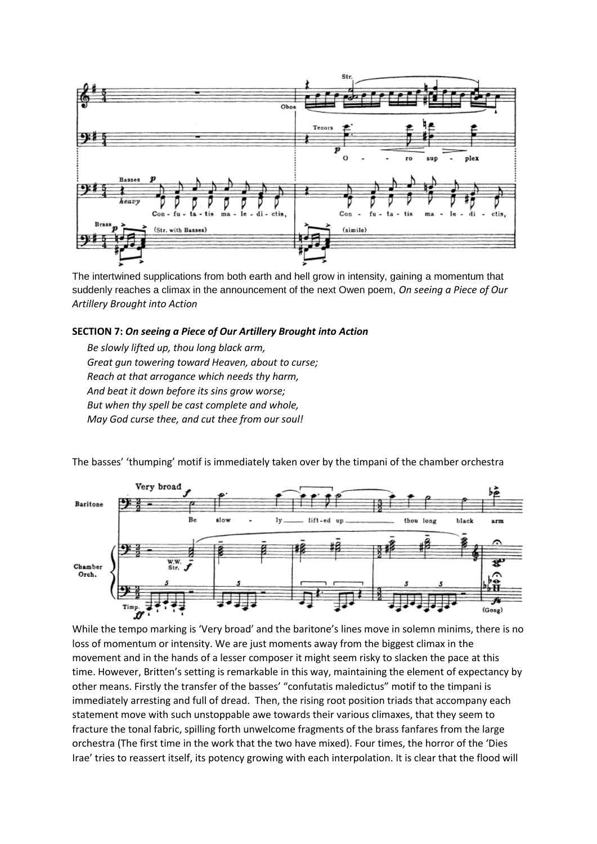

The intertwined supplications from both earth and hell grow in intensity, gaining a momentum that suddenly reaches a climax in the announcement of the next Owen poem, *On seeing a Piece of Our Artillery Brought into Action*

## **SECTION 7:** *On seeing a Piece of Our Artillery Brought into Action*

*Be slowly lifted up, thou long black arm, Great gun towering toward Heaven, about to curse; Reach at that arrogance which needs thy harm, And beat it down before its sins grow worse; But when thy spell be cast complete and whole, May God curse thee, and cut thee from our soul!*

The basses' 'thumping' motif is immediately taken over by the timpani of the chamber orchestra



While the tempo marking is 'Very broad' and the baritone's lines move in solemn minims, there is no loss of momentum or intensity. We are just moments away from the biggest climax in the movement and in the hands of a lesser composer it might seem risky to slacken the pace at this time. However, Britten's setting is remarkable in this way, maintaining the element of expectancy by other means. Firstly the transfer of the basses' "confutatis maledictus" motif to the timpani is immediately arresting and full of dread. Then, the rising root position triads that accompany each statement move with such unstoppable awe towards their various climaxes, that they seem to fracture the tonal fabric, spilling forth unwelcome fragments of the brass fanfares from the large orchestra (The first time in the work that the two have mixed). Four times, the horror of the 'Dies Irae' tries to reassert itself, its potency growing with each interpolation. It is clear that the flood will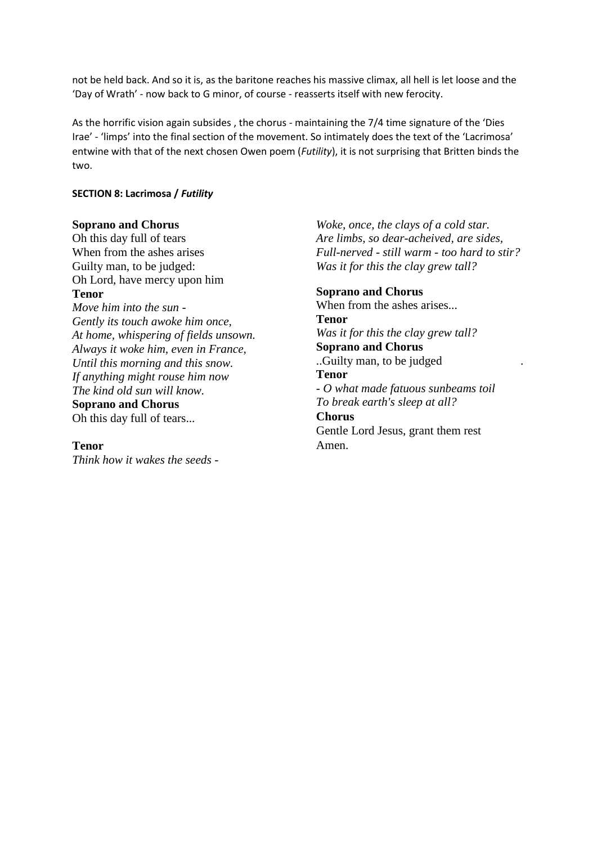not be held back. And so it is, as the baritone reaches his massive climax, all hell is let loose and the 'Day of Wrath' - now back to G minor, of course - reasserts itself with new ferocity.

As the horrific vision again subsides , the chorus - maintaining the 7/4 time signature of the 'Dies Irae' - 'limps' into the final section of the movement. So intimately does the text of the 'Lacrimosa' entwine with that of the next chosen Owen poem (*Futility*), it is not surprising that Britten binds the two.

# **SECTION 8: Lacrimosa /** *Futility*

## **Soprano and Chorus**

Oh this day full of tears When from the ashes arises Guilty man, to be judged: Oh Lord, have mercy upon him **Tenor** *Move him into the sun - Gently its touch awoke him once,*

*At home, whispering of fields unsown. Always it woke him, even in France, Until this morning and this snow. If anything might rouse him now The kind old sun will know.*

**Soprano and Chorus** Oh this day full of tears...

#### **Tenor**

*Think how it wakes the seeds -*

*Woke, once, the clays of a cold star. Are limbs, so dear-acheived, are sides, Full-nerved - still warm - too hard to stir? Was it for this the clay grew tall?*

# **Soprano and Chorus**

Amen.

When from the ashes arises... **Tenor** *Was it for this the clay grew tall?* **Soprano and Chorus** ..Guilty man, to be judged . **Tenor** *- O what made fatuous sunbeams toil To break earth's sleep at all?* **Chorus** Gentle Lord Jesus, grant them rest